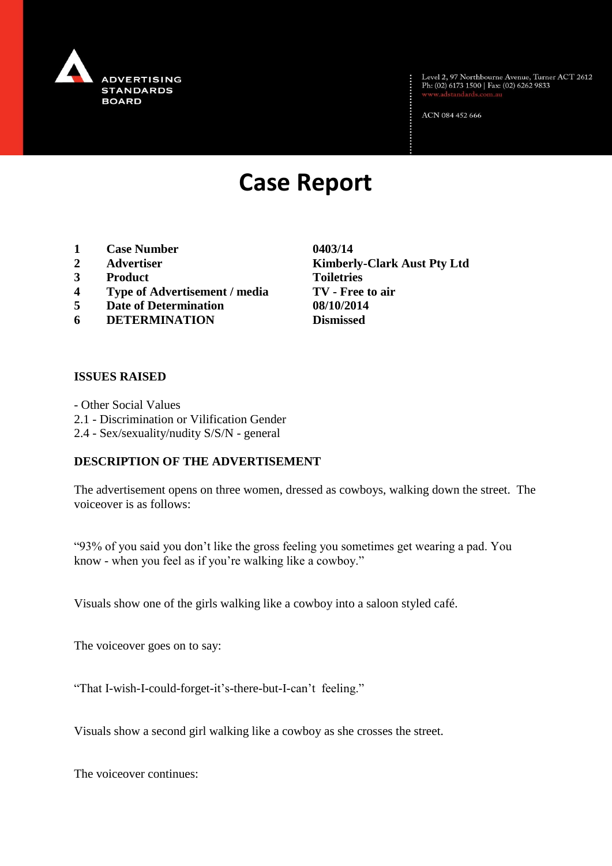

Level 2, 97 Northbourne Avenue, Turner ACT 2612<br>Ph: (02) 6173 1500 | Fax: (02) 6262 9833

ACN 084 452 666

# **Case Report**

- **1 Case Number 0403/14**
- **2 Advertiser Kimberly-Clark Aust Pty Ltd**
- **3 Product Toiletries**
- **4 Type of Advertisement / media TV - Free to air**
- **5 Date of Determination 08/10/2014**
- **6 DETERMINATION Dismissed**

### **ISSUES RAISED**

- Other Social Values 2.1 - Discrimination or Vilification Gender 2.4 - Sex/sexuality/nudity S/S/N - general

#### **DESCRIPTION OF THE ADVERTISEMENT**

The advertisement opens on three women, dressed as cowboys, walking down the street. The voiceover is as follows:

"93% of you said you don't like the gross feeling you sometimes get wearing a pad. You know - when you feel as if you're walking like a cowboy."

Visuals show one of the girls walking like a cowboy into a saloon styled café.

The voiceover goes on to say:

"That I-wish-I-could-forget-it's-there-but-I-can't feeling."

Visuals show a second girl walking like a cowboy as she crosses the street.

The voiceover continues: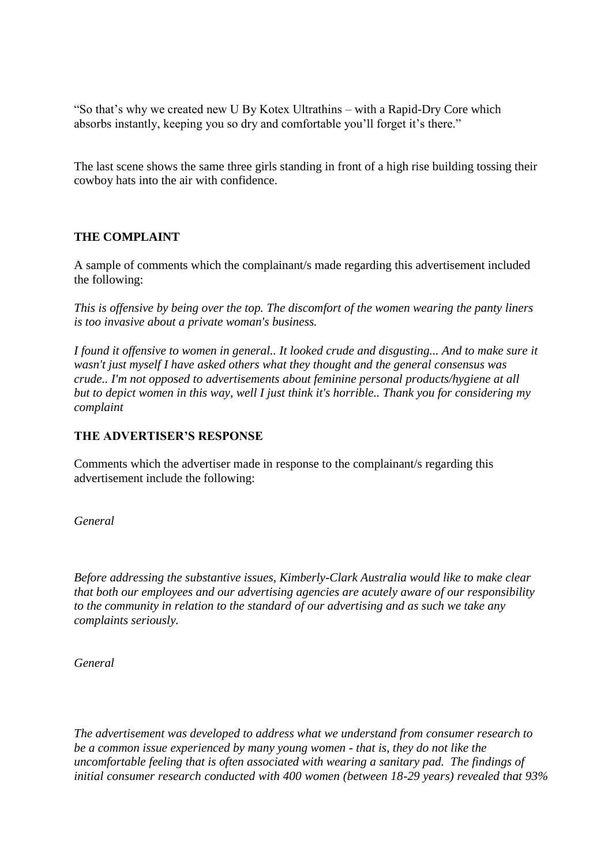"So that's why we created new U By Kotex Ultrathins – with a Rapid-Dry Core which absorbs instantly, keeping you so dry and comfortable you'll forget it's there."

The last scene shows the same three girls standing in front of a high rise building tossing their cowboy hats into the air with confidence.

## **THE COMPLAINT**

A sample of comments which the complainant/s made regarding this advertisement included the following:

*This is offensive by being over the top. The discomfort of the women wearing the panty liners is too invasive about a private woman's business.*

*I found it offensive to women in general.. It looked crude and disgusting... And to make sure it wasn't just myself I have asked others what they thought and the general consensus was crude.. I'm not opposed to advertisements about feminine personal products/hygiene at all but to depict women in this way, well I just think it's horrible.. Thank you for considering my complaint*

#### **THE ADVERTISER'S RESPONSE**

Comments which the advertiser made in response to the complainant/s regarding this advertisement include the following:

*General*

*Before addressing the substantive issues, Kimberly-Clark Australia would like to make clear that both our employees and our advertising agencies are acutely aware of our responsibility to the community in relation to the standard of our advertising and as such we take any complaints seriously.*

*General* 

*The advertisement was developed to address what we understand from consumer research to be a common issue experienced by many young women - that is, they do not like the uncomfortable feeling that is often associated with wearing a sanitary pad. The findings of initial consumer research conducted with 400 women (between 18-29 years) revealed that 93%*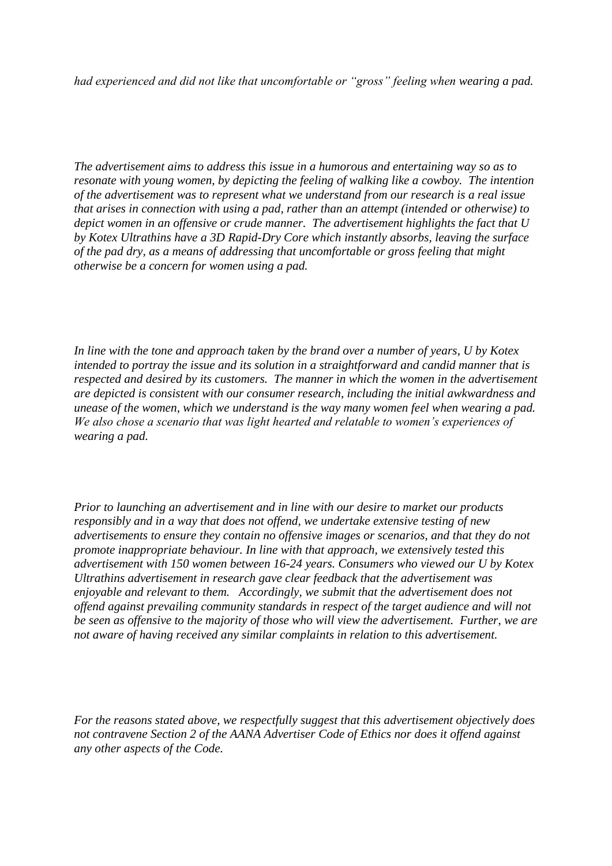*had experienced and did not like that uncomfortable or "gross" feeling when wearing a pad.*

*The advertisement aims to address this issue in a humorous and entertaining way so as to resonate with young women, by depicting the feeling of walking like a cowboy. The intention of the advertisement was to represent what we understand from our research is a real issue that arises in connection with using a pad, rather than an attempt (intended or otherwise) to depict women in an offensive or crude manner. The advertisement highlights the fact that U by Kotex Ultrathins have a 3D Rapid-Dry Core which instantly absorbs, leaving the surface of the pad dry, as a means of addressing that uncomfortable or gross feeling that might otherwise be a concern for women using a pad.*

*In line with the tone and approach taken by the brand over a number of years, U by Kotex intended to portray the issue and its solution in a straightforward and candid manner that is respected and desired by its customers. The manner in which the women in the advertisement are depicted is consistent with our consumer research, including the initial awkwardness and unease of the women, which we understand is the way many women feel when wearing a pad. We also chose a scenario that was light hearted and relatable to women's experiences of wearing a pad.* 

*Prior to launching an advertisement and in line with our desire to market our products responsibly and in a way that does not offend, we undertake extensive testing of new advertisements to ensure they contain no offensive images or scenarios, and that they do not promote inappropriate behaviour. In line with that approach, we extensively tested this advertisement with 150 women between 16-24 years. Consumers who viewed our U by Kotex Ultrathins advertisement in research gave clear feedback that the advertisement was enjoyable and relevant to them. Accordingly, we submit that the advertisement does not offend against prevailing community standards in respect of the target audience and will not be seen as offensive to the majority of those who will view the advertisement. Further, we are not aware of having received any similar complaints in relation to this advertisement.* 

*For the reasons stated above, we respectfully suggest that this advertisement objectively does not contravene Section 2 of the AANA Advertiser Code of Ethics nor does it offend against any other aspects of the Code.*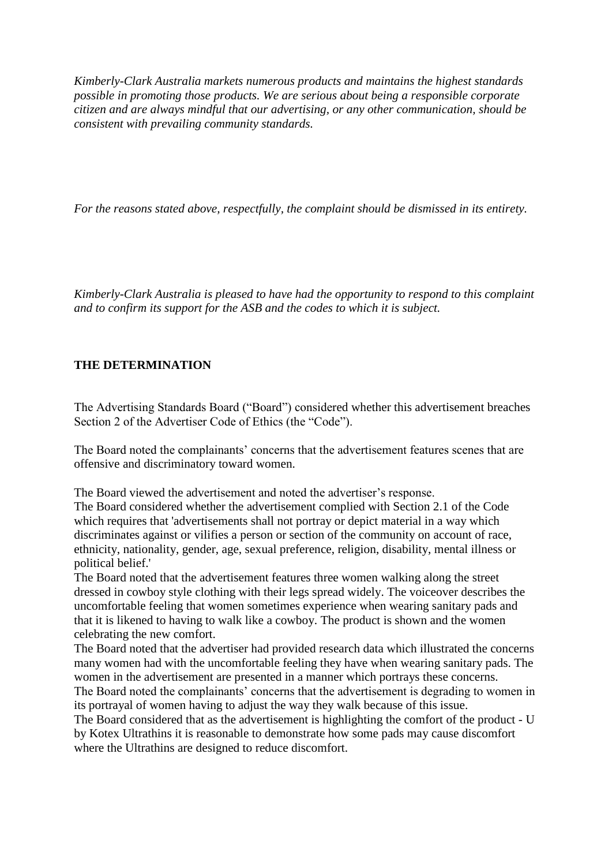*Kimberly-Clark Australia markets numerous products and maintains the highest standards possible in promoting those products. We are serious about being a responsible corporate citizen and are always mindful that our advertising, or any other communication, should be consistent with prevailing community standards.* 

*For the reasons stated above, respectfully, the complaint should be dismissed in its entirety.* 

*Kimberly-Clark Australia is pleased to have had the opportunity to respond to this complaint and to confirm its support for the ASB and the codes to which it is subject.*

## **THE DETERMINATION**

The Advertising Standards Board ("Board") considered whether this advertisement breaches Section 2 of the Advertiser Code of Ethics (the "Code").

The Board noted the complainants' concerns that the advertisement features scenes that are offensive and discriminatory toward women.

The Board viewed the advertisement and noted the advertiser's response.

The Board considered whether the advertisement complied with Section 2.1 of the Code which requires that 'advertisements shall not portray or depict material in a way which discriminates against or vilifies a person or section of the community on account of race, ethnicity, nationality, gender, age, sexual preference, religion, disability, mental illness or political belief.'

The Board noted that the advertisement features three women walking along the street dressed in cowboy style clothing with their legs spread widely. The voiceover describes the uncomfortable feeling that women sometimes experience when wearing sanitary pads and that it is likened to having to walk like a cowboy. The product is shown and the women celebrating the new comfort.

The Board noted that the advertiser had provided research data which illustrated the concerns many women had with the uncomfortable feeling they have when wearing sanitary pads. The women in the advertisement are presented in a manner which portrays these concerns.

The Board noted the complainants' concerns that the advertisement is degrading to women in its portrayal of women having to adjust the way they walk because of this issue.

The Board considered that as the advertisement is highlighting the comfort of the product - U by Kotex Ultrathins it is reasonable to demonstrate how some pads may cause discomfort where the Ultrathins are designed to reduce discomfort.